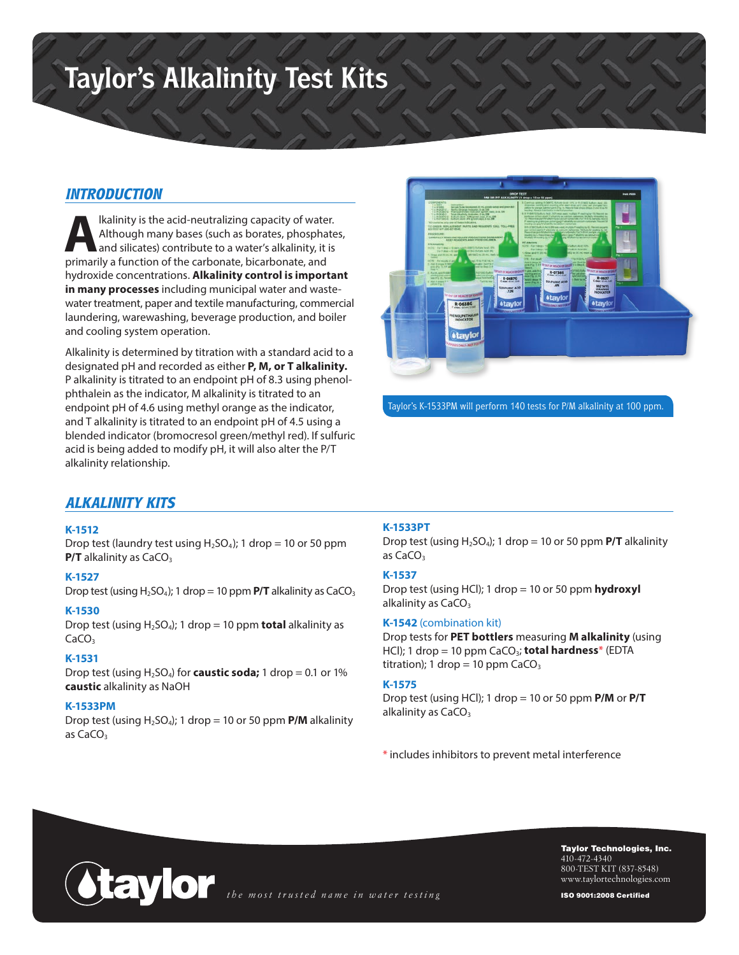# **Taylor's Alkalinity Test Kits**

## *INTRODUCTION*

**Although many bases (such as borates, phosphate**<br>and silicates) contribute to a water's alkalinity, it is<br>primarily a function of the carbonate bicarbonate and Although many bases (such as borates, phosphates, and silicates) contribute to a water's alkalinity, it is primarily a function of the carbonate, bicarbonate, and hydroxide concentrations. **Alkalinity control is important in many processes** including municipal water and wastewater treatment, paper and textile manufacturing, commercial laundering, warewashing, beverage production, and boiler and cooling system operation.

Alkalinity is determined by titration with a standard acid to a designated pH and recorded as either **P, M, or T alkalinity.** P alkalinity is titrated to an endpoint pH of 8.3 using phenolphthalein as the indicator, M alkalinity is titrated to an endpoint pH of 4.6 using methyl orange as the indicator, and T alkalinity is titrated to an endpoint pH of 4.5 using a blended indicator (bromocresol green/methyl red). If sulfuric acid is being added to modify pH, it will also alter the P/T alkalinity relationship.



Taylor's K-1533PM will perform 140 tests for P/M alkalinity at 100 ppm.

# *ALKALINITY KITS*

#### **K-1512**

Drop test (laundry test using  $H_2SO_4$ ); 1 drop = 10 or 50 ppm **P/T** alkalinity as CaCO<sub>3</sub>

#### **K-1527**

Drop test (using  $H_2SO_4$ ); 1 drop = 10 ppm  $P/T$  alkalinity as  $CaCO_3$ 

#### **K-1530**

Drop test (using H2SO4); 1 drop = 10 ppm **total** alkalinity as  $CaCO<sub>3</sub>$ 

#### **K-1531**

Drop test (using  $H_2SO_4$ ) for **caustic soda;** 1 drop = 0.1 or 1% **caustic** alkalinity as NaOH

#### **K-1533PM**

Drop test (using  $H_2SO_4$ ); 1 drop = 10 or 50 ppm  $P/M$  alkalinity as  $CaCO<sub>3</sub>$ 

#### **K-1533PT**

Drop test (using  $H_2SO_4$ ); 1 drop = 10 or 50 ppm  $P/T$  alkalinity as CaCO<sub>3</sub>

#### **K-1537**

Drop test (using HCl); 1 drop = 10 or 50 ppm **hydroxyl** alkalinity as CaCO<sub>3</sub>

#### **K-1542** (combination kit)

Drop tests for **PET bottlers** measuring **M alkalinity** (using HCl); 1 drop = 10 ppm CaCO<sub>3</sub>; total hardness\* (EDTA titration); 1 drop = 10 ppm  $CaCO<sub>3</sub>$ 

#### **K-1575**

Drop test (using HCl); 1 drop = 10 or 50 ppm **P/M** or **P/T** alkalinity as  $CaCO<sub>3</sub>$ 

\* includes inhibitors to prevent metal interference



Taylor Technologies, Inc. 410-472-4340 800-TEST KIT (837-8548) www.taylortechnologies.com

ISO 9001:2008 Certified